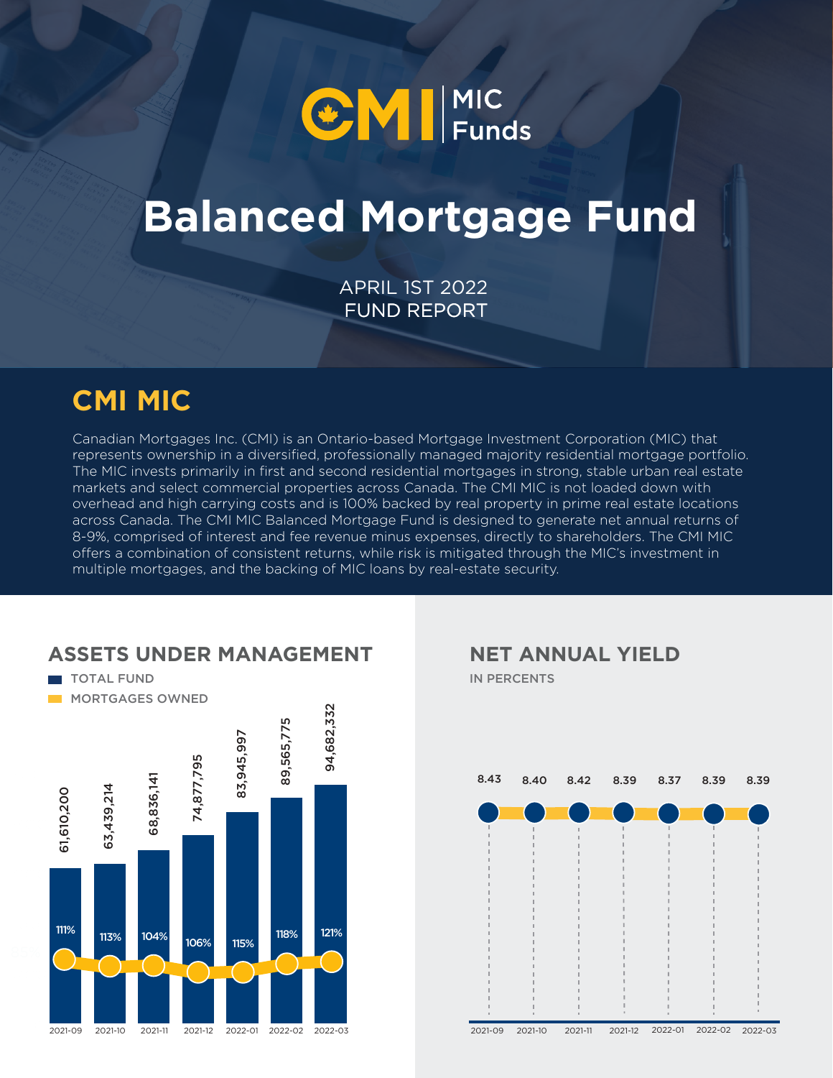

# **Balanced Mortgage Fund**

FUND REPORT APRIL 1ST 2022

### **CMI MIC**

Canadian Mortgages Inc. (CMI) is an Ontario-based Mortgage Investment Corporation (MIC) that represents ownership in a diversified, professionally managed majority residential mortgage portfolio. The MIC invests primarily in first and second residential mortgages in strong, stable urban real estate markets and select commercial properties across Canada. The CMI MIC is not loaded down with overhead and high carrying costs and is 100% backed by real property in prime real estate locations across Canada. The CMI MIC Balanced Mortgage Fund is designed to generate net annual returns of 8-9%, comprised of interest and fee revenue minus expenses, directly to shareholders. The CMI MIC offers a combination of consistent returns, while risk is mitigated through the MIC's investment in multiple mortgages, and the backing of MIC loans by real-estate security.



#### **ASSETS UNDER MANAGEMENT**

IN PERCENTS **NET ANNUAL YIELD**

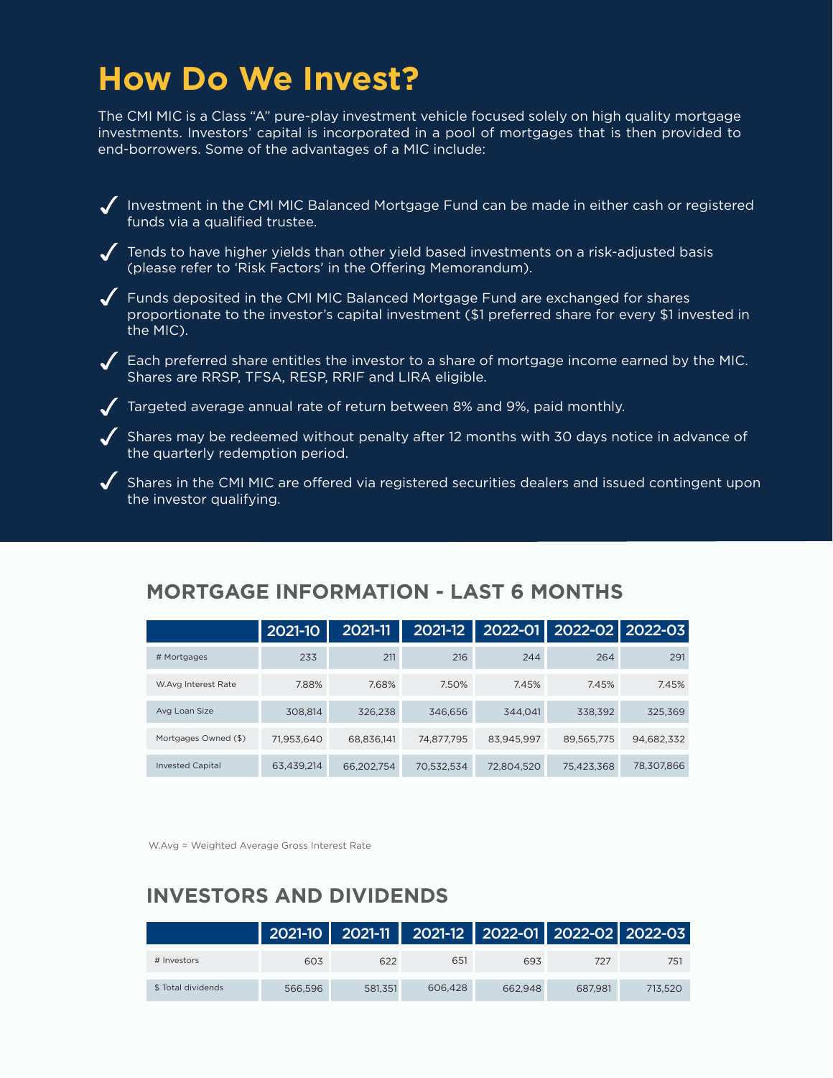### **How Do We Invest?**

The CMI MIC is a Class "A" pure-play investment vehicle focused solely on high quality mortgage investments. Investors' capital is incorporated in a pool of mortgages that is then provided to end-borrowers. Some of the advantages of a MIC include:

 $\sqrt{\phantom{a}}$  Investment in the CMI MIC Balanced Mortgage Fund can be made in either cash or registered funds via a qualified trustee.

 $\sqrt{ }$  Tends to have higher yields than other yield based investments on a risk-adjusted basis (please refer to 'Risk Factors' in the Offering Memorandum).

Funds deposited in the CMI MIC Balanced Mortgage Fund are exchanged for shares proportionate to the investor's capital investment (\$1 preferred share for every \$1 invested in the MIC).

 $\blacktriangledown$  Each preferred share entitles the investor to a share of mortgage income earned by the MIC. Shares are RRSP, TFSA, RESP, RRIF and LIRA eligible.

Targeted average annual rate of return between 8% and 9%, paid monthly.

 $\blacktriangledown$  Shares may be redeemed without penalty after 12 months with 30 days notice in advance of the quarterly redemption period.

 $\blacklozenge$  Shares in the CMI MIC are offered via registered securities dealers and issued contingent upon the investor qualifying.

#### **MORTGAGE INFORMATION - LAST 6 MONTHS**

|                         | 2021-10    | 2021-11    | 2021-12    |            | 2022-01   2022-02   2022-03 |            |
|-------------------------|------------|------------|------------|------------|-----------------------------|------------|
| # Mortgages             | 233        | 211        | 216        | 244        | 264                         | 291        |
| W.Avg Interest Rate     | 7.88%      | 7.68%      | 7.50%      | 7.45%      | 7.45%                       | 7.45%      |
| Avg Loan Size           | 308,814    | 326,238    | 346.656    | 344.041    | 338,392                     | 325,369    |
| Mortgages Owned (\$)    | 71.953.640 | 68.836.141 | 74.877.795 | 83.945.997 | 89,565,775                  | 94,682,332 |
| <b>Invested Capital</b> | 63.439.214 | 66.202.754 | 70,532,534 | 72.804.520 | 75,423,368                  | 78,307,866 |

W.Avg = Weighted Average Gross Interest Rate

#### **INVESTORS AND DIVIDENDS**

|                    |         |         | 2021-10 2021-11 2021-12 2022-01 2022-02 2022-03 |         |         |         |
|--------------------|---------|---------|-------------------------------------------------|---------|---------|---------|
| # Investors        | 603     | 622     | 651                                             | 693     | 727     | 751     |
| \$ Total dividends | 566.596 | 581.351 | 606.428                                         | 662.948 | 687.981 | 713.520 |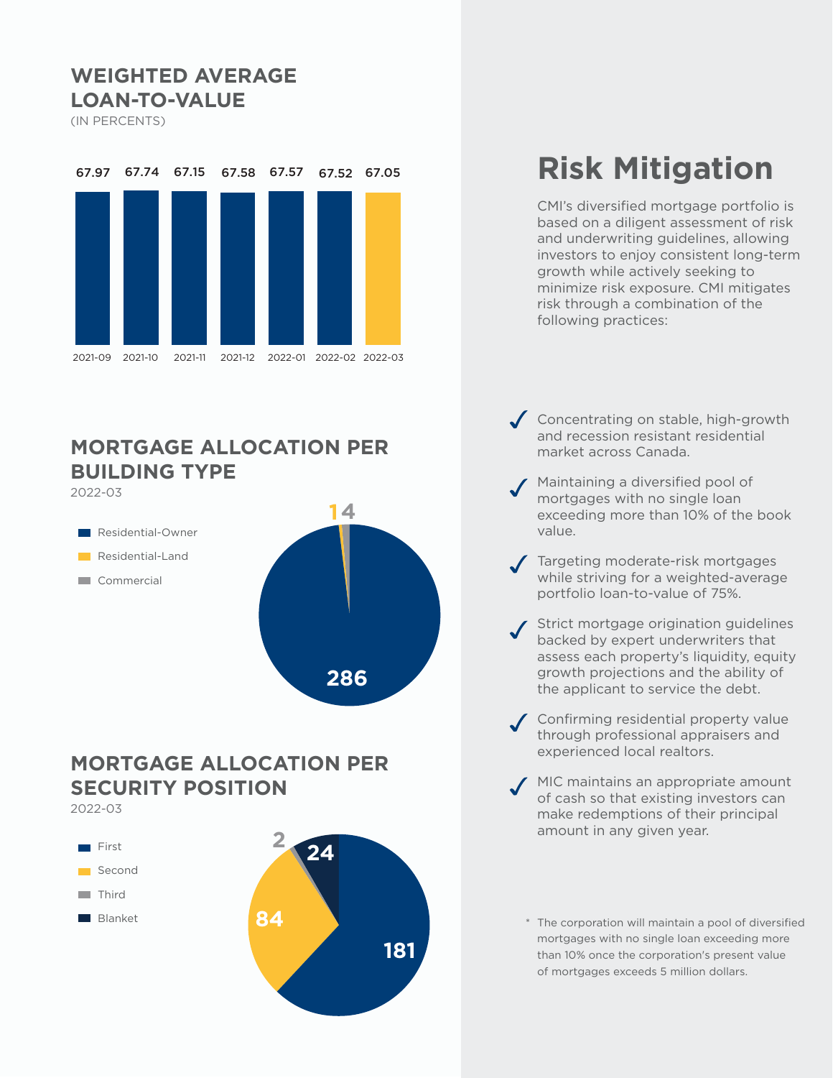#### **WEIGHTED AVERAGE LOAN-TO-VALUE**

(IN PERCENTS)



#### **MORTGAGE ALLOCATION PER BUILDING TYPE**



#### **MORTGAGE ALLOCATION PER SECURITY POSITION** 2022-03



## **Risk Mitigation**

CMI's diversified mortgage portfolio is based on a diligent assessment of risk and underwriting guidelines, allowing investors to enjoy consistent long-term growth while actively seeking to minimize risk exposure. CMI mitigates risk through a combination of the following practices:

- Concentrating on stable, high-growth and recession resistant residential market across Canada.
- Maintaining a diversified pool of mortgages with no single loan exceeding more than 10% of the book value.
- Targeting moderate-risk mortgages while striving for a weighted-average portfolio loan-to-value of 75%.
- Strict mortgage origination guidelines backed by expert underwriters that assess each property's liquidity, equity growth projections and the ability of the applicant to service the debt.
- Confirming residential property value through professional appraisers and experienced local realtors.
- MIC maintains an appropriate amount of cash so that existing investors can make redemptions of their principal amount in any given year.
	- \* The corporation will maintain a pool of diversified mortgages with no single loan exceeding more than 10% once the corporation's present value of mortgages exceeds 5 million dollars.